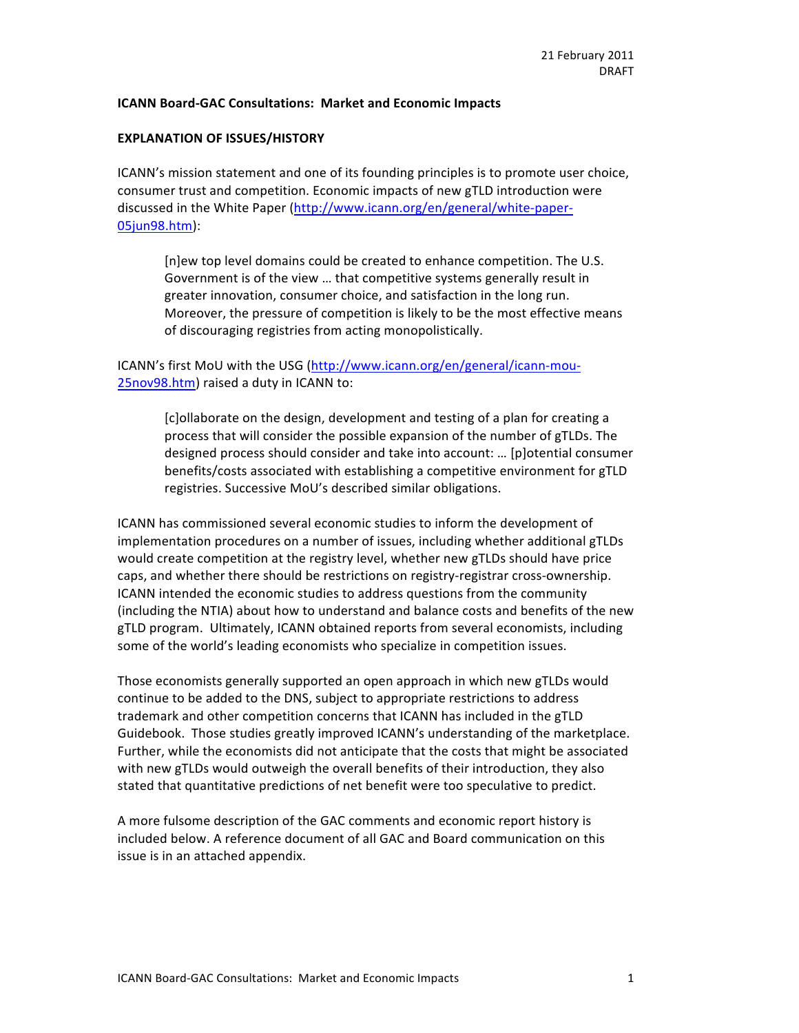#### **ICANN Board-GAC Consultations: Market and Economic Impacts**

#### **EXPLANATION OF ISSUES/HISTORY**

ICANN's mission statement and one of its founding principles is to promote user choice, consumer trust and competition. Economic impacts of new gTLD introduction were discussed in the White Paper (http://www.icann.org/en/general/white-paper-05jun98.htm):#

[n]ew top level domains could be created to enhance competition. The U.S. Government is of the view ... that competitive systems generally result in greater innovation, consumer choice, and satisfaction in the long run. Moreover, the pressure of competition is likely to be the most effective means of discouraging registries from acting monopolistically.

# ICANN's first MoU with the USG (http://www.icann.org/en/general/icann-mou-25nov98.htm) raised a duty in ICANN to:

[c]ollaborate on the design, development and testing of a plan for creating a process that will consider the possible expansion of the number of gTLDs. The designed process should consider and take into account: ... [p]otential consumer benefits/costs associated with establishing a competitive environment for gTLD registries. Successive MoU's described similar obligations.

ICANN has commissioned several economic studies to inform the development of implementation procedures on a number of issues, including whether additional gTLDs would create competition at the registry level, whether new gTLDs should have price caps, and whether there should be restrictions on registry-registrar cross-ownership. ICANN intended the economic studies to address questions from the community (including the NTIA) about how to understand and balance costs and benefits of the new gTLD program. Ultimately, ICANN obtained reports from several economists, including some of the world's leading economists who specialize in competition issues.

Those economists generally supported an open approach in which new gTLDs would continue to be added to the DNS, subject to appropriate restrictions to address trademark and other competition concerns that ICANN has included in the gTLD Guidebook. Those studies greatly improved ICANN's understanding of the marketplace. Further, while the economists did not anticipate that the costs that might be associated with new gTLDs would outweigh the overall benefits of their introduction, they also stated that quantitative predictions of net benefit were too speculative to predict.

A more fulsome description of the GAC comments and economic report history is included below. A reference document of all GAC and Board communication on this issue is in an attached appendix.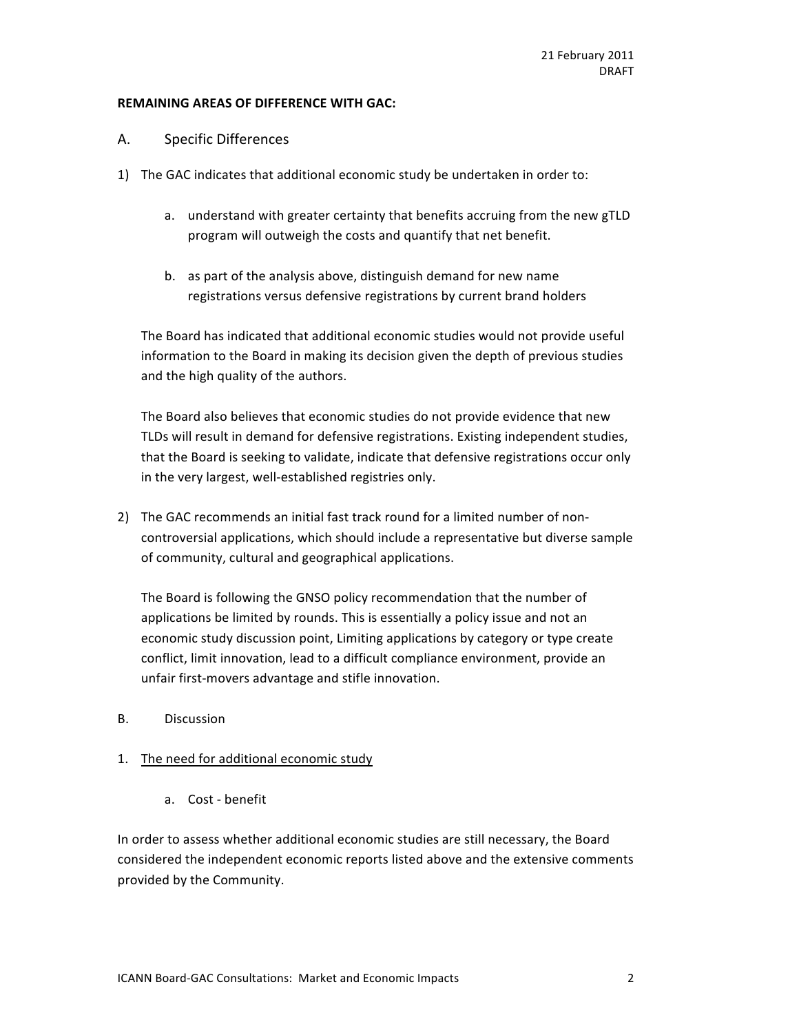#### **REMAINING AREAS OF DIFFERENCE WITH GAC:**

#### A. Specific Differences

- 1) The GAC indicates that additional economic study be undertaken in order to:
	- a. understand with greater certainty that benefits accruing from the new gTLD program will outweigh the costs and quantify that net benefit.
	- b. as part of the analysis above, distinguish demand for new name registrations versus defensive registrations by current brand holders

The Board has indicated that additional economic studies would not provide useful information to the Board in making its decision given the depth of previous studies and the high quality of the authors.

The Board also believes that economic studies do not provide evidence that new TLDs will result in demand for defensive registrations. Existing independent studies, that the Board is seeking to validate, indicate that defensive registrations occur only in the very largest, well-established registries only.

2) The GAC recommends an initial fast track round for a limited number of noncontroversial applications, which should include a representative but diverse sample of community, cultural and geographical applications.

The Board is following the GNSO policy recommendation that the number of applications be limited by rounds. This is essentially a policy issue and not an economic study discussion point, Limiting applications by category or type create conflict, limit innovation, lead to a difficult compliance environment, provide an unfair first-movers advantage and stifle innovation.

B. Discussion

# 1. The need for additional economic study

a. Cost - benefit

In order to assess whether additional economic studies are still necessary, the Board considered the independent economic reports listed above and the extensive comments provided by the Community.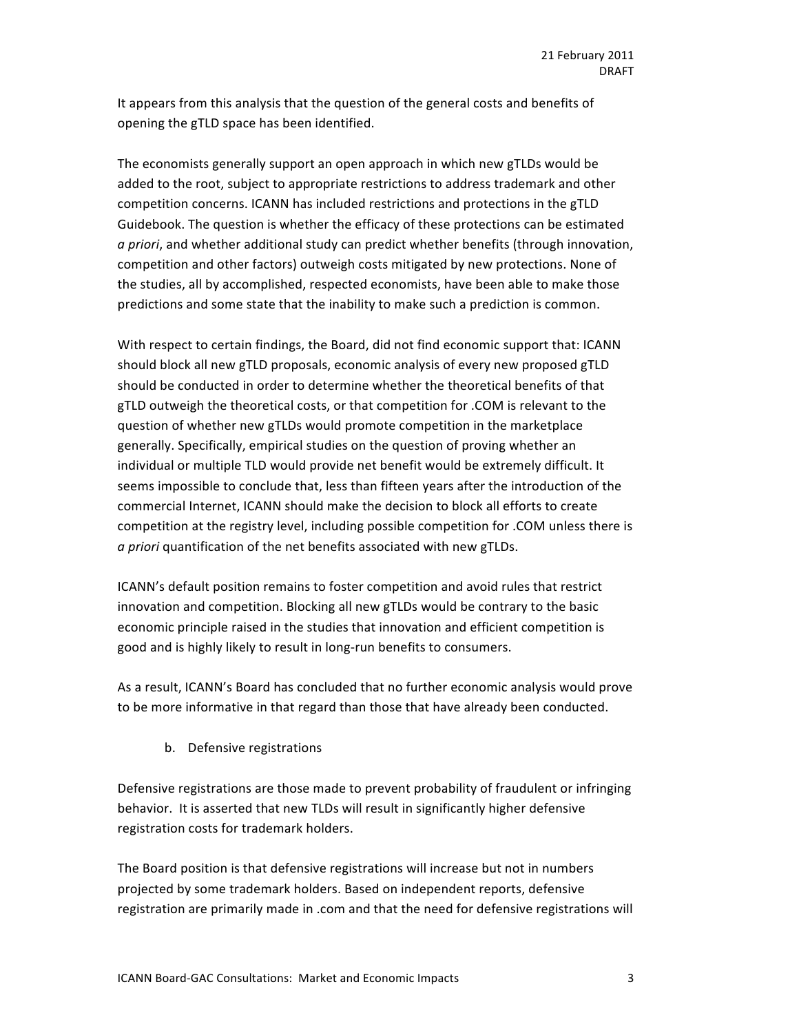It appears from this analysis that the question of the general costs and benefits of opening the gTLD space has been identified.

The economists generally support an open approach in which new gTLDs would be added to the root, subject to appropriate restrictions to address trademark and other competition concerns. ICANN has included restrictions and protections in the gTLD Guidebook. The question is whether the efficacy of these protections can be estimated a priori, and whether additional study can predict whether benefits (through innovation, competition and other factors) outweigh costs mitigated by new protections. None of the studies, all by accomplished, respected economists, have been able to make those predictions and some state that the inability to make such a prediction is common.

With respect to certain findings, the Board, did not find economic support that: ICANN should block all new gTLD proposals, economic analysis of every new proposed gTLD should be conducted in order to determine whether the theoretical benefits of that gTLD outweigh the theoretical costs, or that competition for .COM is relevant to the question of whether new gTLDs would promote competition in the marketplace generally. Specifically, empirical studies on the question of proving whether an individual or multiple TLD would provide net benefit would be extremely difficult. It seems impossible to conclude that, less than fifteen years after the introduction of the commercial Internet, ICANN should make the decision to block all efforts to create competition at the registry level, including possible competition for .COM unless there is a priori quantification of the net benefits associated with new gTLDs.

ICANN's default position remains to foster competition and avoid rules that restrict innovation and competition. Blocking all new gTLDs would be contrary to the basic economic principle raised in the studies that innovation and efficient competition is good and is highly likely to result in long-run benefits to consumers.

As a result, ICANN's Board has concluded that no further economic analysis would prove to be more informative in that regard than those that have already been conducted.

b. Defensive registrations

Defensive registrations are those made to prevent probability of fraudulent or infringing behavior. It is asserted that new TLDs will result in significantly higher defensive registration costs for trademark holders.

The Board position is that defensive registrations will increase but not in numbers projected by some trademark holders. Based on independent reports, defensive registration are primarily made in .com and that the need for defensive registrations will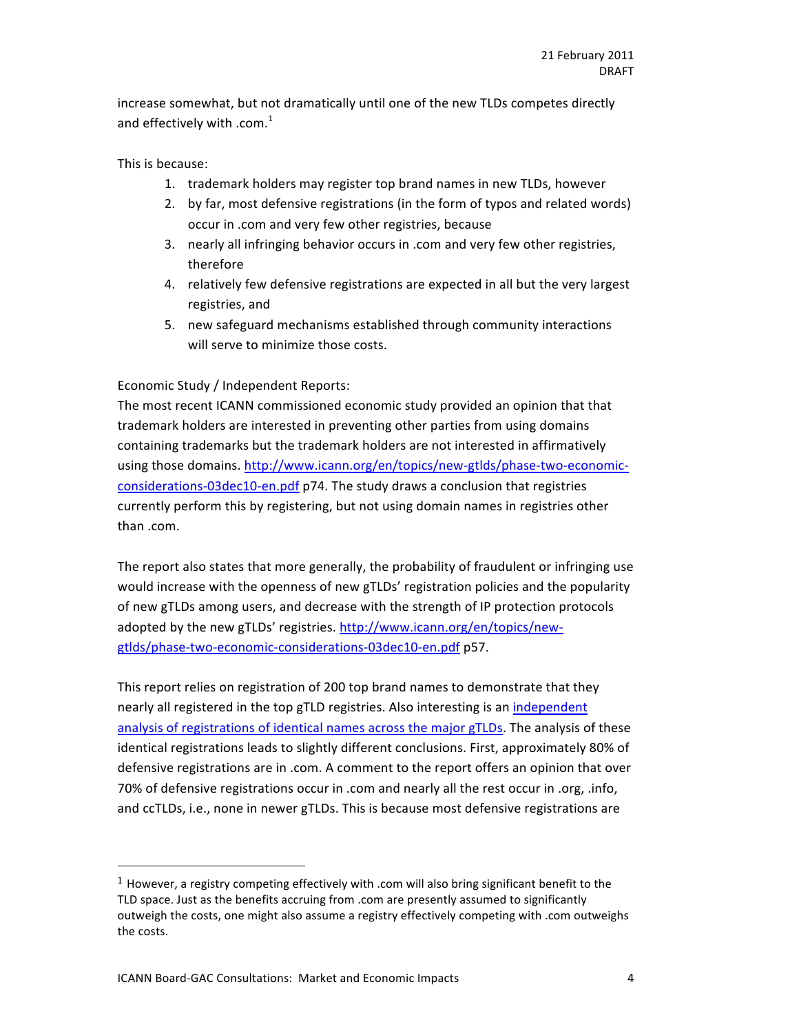increase somewhat, but not dramatically until one of the new TLDs competes directly and effectively with .com. $<sup>1</sup>$ </sup>

#### This is because:

- 1. trademark holders may register top brand names in new TLDs, however
- 2. by far, most defensive registrations (in the form of typos and related words) occur in .com and very few other registries, because
- 3. nearly all infringing behavior occurs in .com and very few other registries, therefore
- 4. relatively few defensive registrations are expected in all but the very largest registries, and
- 5. new safeguard mechanisms established through community interactions will serve to minimize those costs.

#### Economic Study / Independent Reports:

The most recent ICANN commissioned economic study provided an opinion that that trademark holders are interested in preventing other parties from using domains containing trademarks but the trademark holders are not interested in affirmatively using those domains. http://www.icann.org/en/topics/new-gtlds/phase-two-economicconsiderations-03dec10-en.pdf p74. The study draws a conclusion that registries currently perform this by registering, but not using domain names in registries other than .com.

The report also states that more generally, the probability of fraudulent or infringing use would increase with the openness of new gTLDs' registration policies and the popularity of new gTLDs among users, and decrease with the strength of IP protection protocols adopted by the new gTLDs' registries. http://www.icann.org/en/topics/newgtlds/phase-two-economic-considerations-03dec10-en.pdf p57.

This report relies on registration of 200 top brand names to demonstrate that they nearly all registered in the top gTLD registries. Also interesting is an independent analysis of registrations of identical names across the major gTLDs. The analysis of these identical registrations leads to slightly different conclusions. First, approximately 80% of defensive registrations are in .com. A comment to the report offers an opinion that over 70% of defensive registrations occur in .com and nearly all the rest occur in .org, .info, and ccTLDs, i.e., none in newer gTLDs. This is because most defensive registrations are

!!!!!!!!!!!!!!!!!!!!!!!!!!!!!!!!!!!!!!!!!!!!!!!!!!!!!!!

<sup>&</sup>lt;sup>1</sup> However, a registry competing effectively with .com will also bring significant benefit to the TLD space. Just as the benefits accruing from .com are presently assumed to significantly outweigh the costs, one might also assume a registry effectively competing with .com outweighs the costs.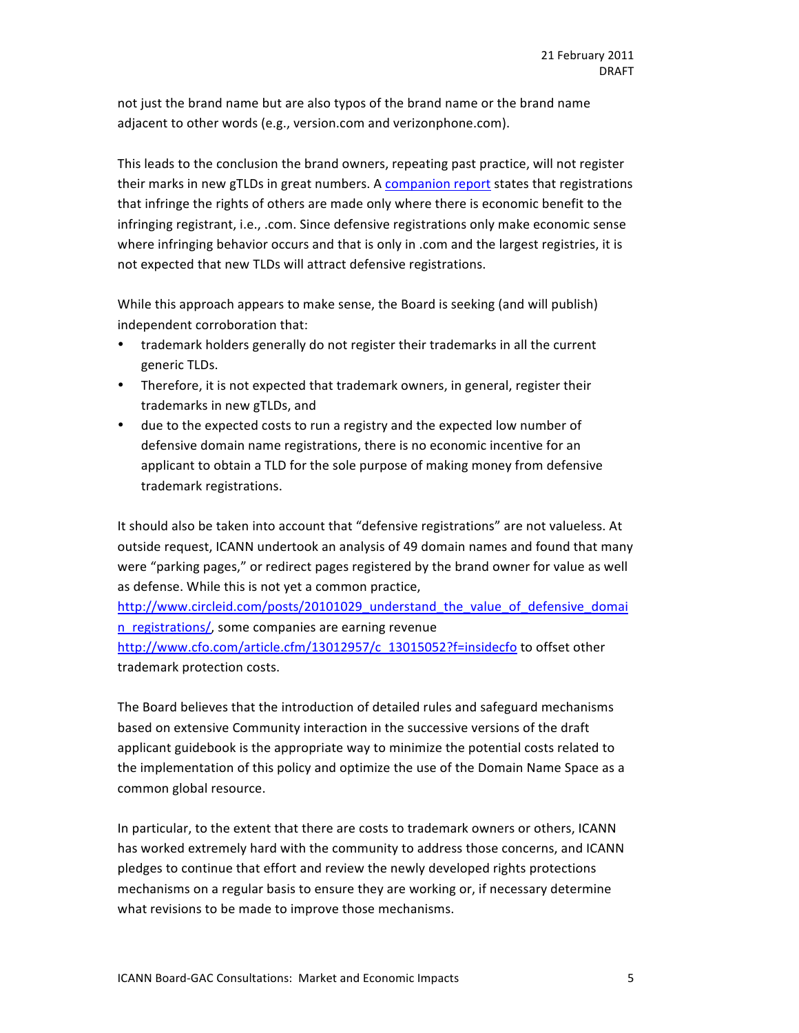not just the brand name but are also typos of the brand name or the brand name adjacent to other words (e.g., version.com and verizonphone.com).

This leads to the conclusion the brand owners, repeating past practice, will not register their marks in new gTLDs in great numbers. A companion report states that registrations that infringe the rights of others are made only where there is economic benefit to the infringing registrant, i.e., .com. Since defensive registrations only make economic sense where infringing behavior occurs and that is only in .com and the largest registries, it is not expected that new TLDs will attract defensive registrations.

While this approach appears to make sense, the Board is seeking (and will publish) independent corroboration that:

- trademark holders generally do not register their trademarks in all the current generic TLDs.
- Therefore, it is not expected that trademark owners, in general, register their trademarks in new gTLDs, and
- due to the expected costs to run a registry and the expected low number of defensive domain name registrations, there is no economic incentive for an applicant to obtain a TLD for the sole purpose of making money from defensive trademark registrations.

It should also be taken into account that "defensive registrations" are not valueless. At outside request, ICANN undertook an analysis of 49 domain names and found that many were "parking pages," or redirect pages registered by the brand owner for value as well as defense. While this is not yet a common practice,

http://www.circleid.com/posts/20101029\_understand\_the\_value\_of\_defensive\_domai n registrations/, some companies are earning revenue http://www.cfo.com/article.cfm/13012957/c\_13015052?f=insidecfo to offset other trademark protection costs.

The Board believes that the introduction of detailed rules and safeguard mechanisms based on extensive Community interaction in the successive versions of the draft applicant guidebook is the appropriate way to minimize the potential costs related to the implementation of this policy and optimize the use of the Domain Name Space as a common global resource.

In particular, to the extent that there are costs to trademark owners or others, ICANN has worked extremely hard with the community to address those concerns, and ICANN pledges to continue that effort and review the newly developed rights protections mechanisms on a regular basis to ensure they are working or, if necessary determine what revisions to be made to improve those mechanisms.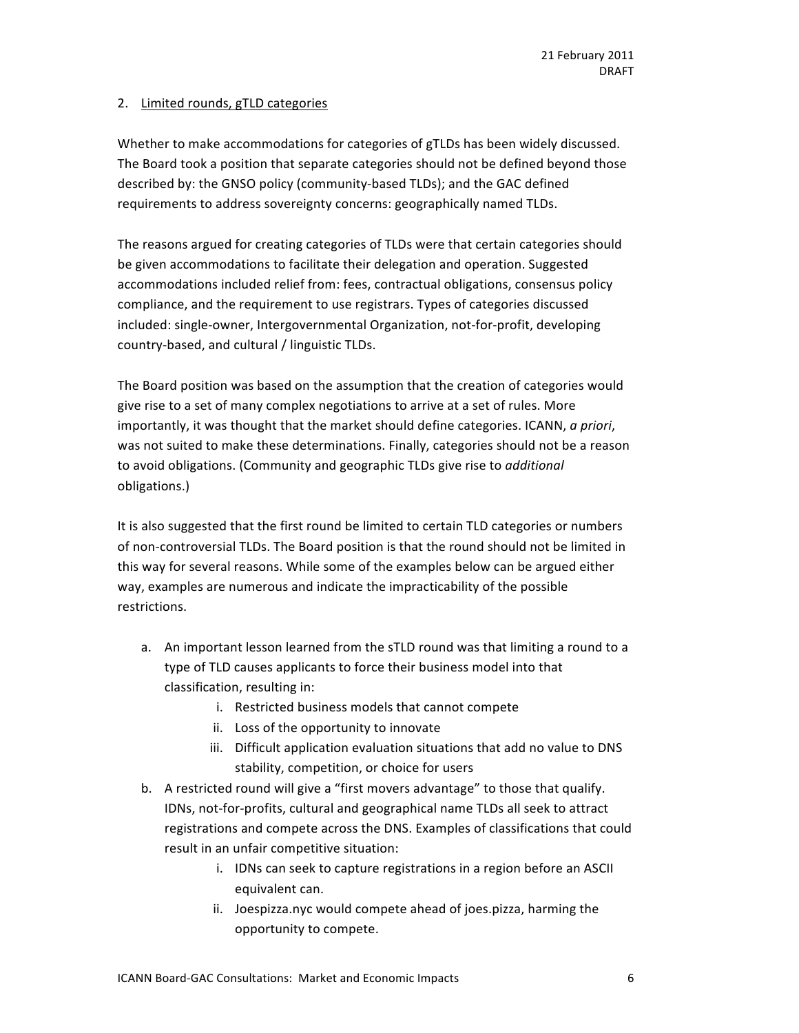# 2. Limited rounds, gTLD categories

Whether to make accommodations for categories of gTLDs has been widely discussed. The Board took a position that separate categories should not be defined beyond those described by: the GNSO policy (community-based TLDs); and the GAC defined requirements to address sovereignty concerns: geographically named TLDs.

The reasons argued for creating categories of TLDs were that certain categories should be given accommodations to facilitate their delegation and operation. Suggested accommodations included relief from: fees, contractual obligations, consensus policy compliance, and the requirement to use registrars. Types of categories discussed included: single-owner, Intergovernmental Organization, not-for-profit, developing country-based, and cultural / linguistic TLDs.

The Board position was based on the assumption that the creation of categories would give rise to a set of many complex negotiations to arrive at a set of rules. More importantly, it was thought that the market should define categories. ICANN, *a priori*, was not suited to make these determinations. Finally, categories should not be a reason to avoid obligations. (Community and geographic TLDs give rise to *additional* obligations.)

It is also suggested that the first round be limited to certain TLD categories or numbers of non-controversial TLDs. The Board position is that the round should not be limited in this way for several reasons. While some of the examples below can be argued either way, examples are numerous and indicate the impracticability of the possible restrictions.

- a. An important lesson learned from the sTLD round was that limiting a round to a type of TLD causes applicants to force their business model into that classification, resulting in:
	- i. Restricted business models that cannot compete
	- ii. Loss of the opportunity to innovate
	- iii. Difficult application evaluation situations that add no value to DNS stability, competition, or choice for users
- b. A restricted round will give a "first movers advantage" to those that qualify. IDNs, not-for-profits, cultural and geographical name TLDs all seek to attract registrations and compete across the DNS. Examples of classifications that could result in an unfair competitive situation:
	- i. IDNs can seek to capture registrations in a region before an ASCII equivalent can.
	- ii. Joespizza.nyc would compete ahead of joes.pizza, harming the opportunity to compete.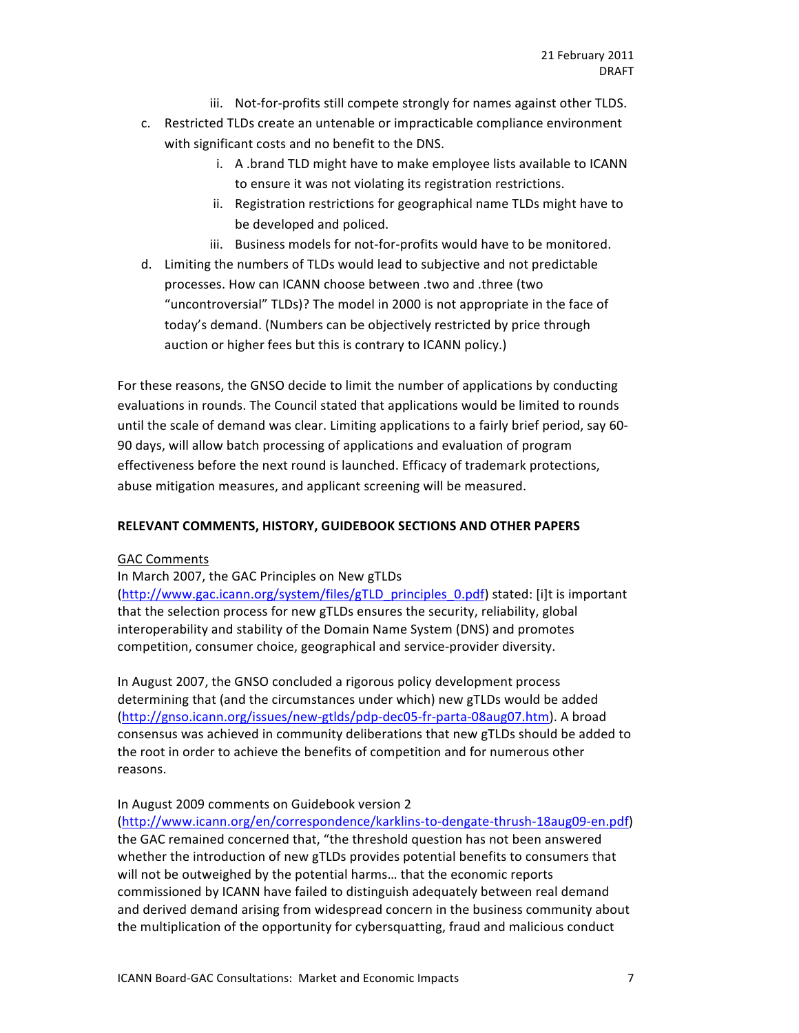- iii. Not-for-profits still compete strongly for names against other TLDS.
- c. Restricted TLDs create an untenable or impracticable compliance environment with significant costs and no benefit to the DNS.
	- i. A .brand TLD might have to make employee lists available to ICANN to ensure it was not violating its registration restrictions.
	- ii. Registration restrictions for geographical name TLDs might have to be developed and policed.
	- iii. Business models for not-for-profits would have to be monitored.
- d. Limiting the numbers of TLDs would lead to subjective and not predictable processes. How can ICANN choose between .two and .three (two "uncontroversial" TLDs)? The model in 2000 is not appropriate in the face of today's demand. (Numbers can be objectively restricted by price through auction or higher fees but this is contrary to ICANN policy.)

For these reasons, the GNSO decide to limit the number of applications by conducting evaluations in rounds. The Council stated that applications would be limited to rounds until the scale of demand was clear. Limiting applications to a fairly brief period, say 60-90 days, will allow batch processing of applications and evaluation of program effectiveness before the next round is launched. Efficacy of trademark protections, abuse mitigation measures, and applicant screening will be measured.

# RELEVANT COMMENTS, HISTORY, GUIDEBOOK SECTIONS AND OTHER PAPERS

# **GAC Comments**

# In March 2007, the GAC Principles on New gTLDs

(http://www.gac.icann.org/system/files/gTLD\_principles\_0.pdf) stated: [i]t is important that the selection process for new gTLDs ensures the security, reliability, global interoperability and stability of the Domain Name System (DNS) and promotes competition, consumer choice, geographical and service-provider diversity.

In August 2007, the GNSO concluded a rigorous policy development process determining that (and the circumstances under which) new gTLDs would be added (http://gnso.icann.org/issues/new-gtlds/pdp-dec05-fr-parta-08aug07.htm). A broad consensus was achieved in community deliberations that new gTLDs should be added to the root in order to achieve the benefits of competition and for numerous other reasons.

# In August 2009 comments on Guidebook version 2

(http://www.icann.org/en/correspondence/karklins-to-dengate-thrush-18aug09-en.pdf) the GAC remained concerned that, "the threshold question has not been answered whether the introduction of new gTLDs provides potential benefits to consumers that will not be outweighed by the potential harms... that the economic reports commissioned by ICANN have failed to distinguish adequately between real demand and derived demand arising from widespread concern in the business community about the multiplication of the opportunity for cybersquatting, fraud and malicious conduct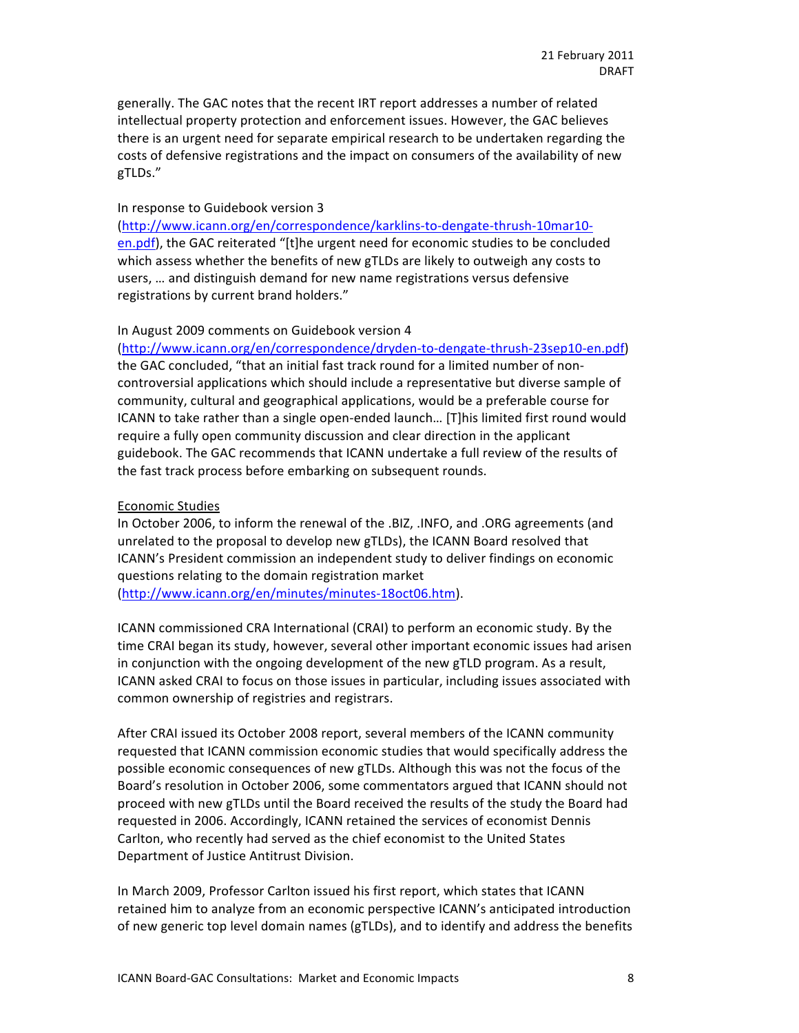generally. The GAC notes that the recent IRT report addresses a number of related intellectual property protection and enforcement issues. However, the GAC believes there is an urgent need for separate empirical research to be undertaken regarding the costs of defensive registrations and the impact on consumers of the availability of new gTLDs."

#### In response to Guidebook version 3

(http://www.icann.org/en/correspondence/karklins-to-dengate-thrush-10mar10en.pdf), the GAC reiterated "[t]he urgent need for economic studies to be concluded which assess whether the benefits of new gTLDs are likely to outweigh any costs to users, ... and distinguish demand for new name registrations versus defensive registrations by current brand holders."

#### In August 2009 comments on Guidebook version 4

 $(http://www.ican.org/en/correspondence/dryden-to-dengate-thrush-23sep10-en.pdf)$ the GAC concluded, "that an initial fast track round for a limited number of noncontroversial applications which should include a representative but diverse sample of community, cultural and geographical applications, would be a preferable course for ICANN to take rather than a single open-ended launch... [T]his limited first round would require a fully open community discussion and clear direction in the applicant guidebook. The GAC recommends that ICANN undertake a full review of the results of the fast track process before embarking on subsequent rounds.

#### Economic#Studies

In October 2006, to inform the renewal of the .BIZ, .INFO, and .ORG agreements (and unrelated to the proposal to develop new gTLDs), the ICANN Board resolved that ICANN's President commission an independent study to deliver findings on economic questions relating to the domain registration market (http://www.icann.org/en/minutes/minutes-18oct06.htm).

ICANN commissioned CRA International (CRAI) to perform an economic study. By the time CRAI began its study, however, several other important economic issues had arisen in conjunction with the ongoing development of the new gTLD program. As a result, ICANN asked CRAI to focus on those issues in particular, including issues associated with common ownership of registries and registrars.

After CRAI issued its October 2008 report, several members of the ICANN community requested that ICANN commission economic studies that would specifically address the possible economic consequences of new gTLDs. Although this was not the focus of the Board's resolution in October 2006, some commentators argued that ICANN should not proceed with new gTLDs until the Board received the results of the study the Board had requested in 2006. Accordingly, ICANN retained the services of economist Dennis Carlton, who recently had served as the chief economist to the United States Department of Justice Antitrust Division.

In March 2009, Professor Carlton issued his first report, which states that ICANN retained him to analyze from an economic perspective ICANN's anticipated introduction of new generic top level domain names (gTLDs), and to identify and address the benefits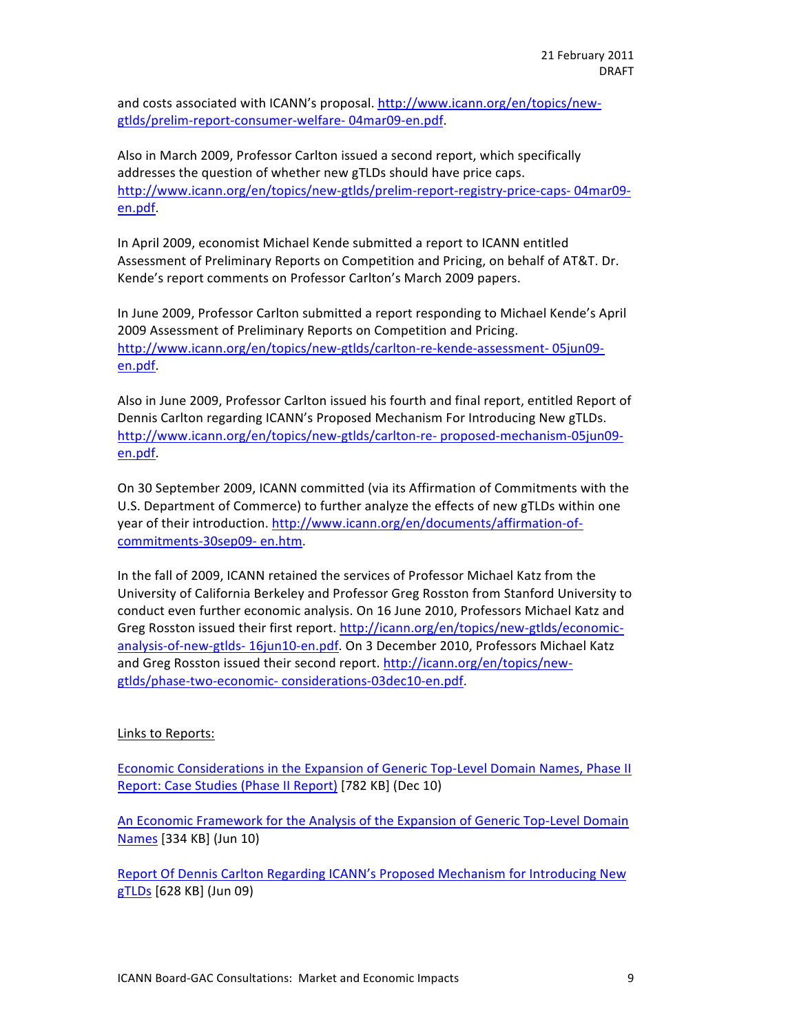and costs associated with ICANN's proposal. http://www.icann.org/en/topics/newgtlds/prelim-report-consumer-welfare-04mar09-en.pdf.

Also in March 2009, Professor Carlton issued a second report, which specifically addresses the question of whether new gTLDs should have price caps. http://www.icann.org/en/topics/new-gtlds/prelim-report-registry-price-caps-04mar09en.pdf.

In April 2009, economist Michael Kende submitted a report to ICANN entitled Assessment of Preliminary Reports on Competition and Pricing, on behalf of AT&T. Dr. Kende's report comments on Professor Carlton's March 2009 papers.

In June 2009, Professor Carlton submitted a report responding to Michael Kende's April 2009 Assessment of Preliminary Reports on Competition and Pricing. http://www.icann.org/en/topics/new-gtlds/carlton-re-kende-assessment-05jun09en.pdf.

Also in June 2009, Professor Carlton issued his fourth and final report, entitled Report of Dennis Carlton regarding ICANN's Proposed Mechanism For Introducing New gTLDs. http://www.icann.org/en/topics/new-gtlds/carlton-re- proposed-mechanism-05jun09en.pdf.

On 30 September 2009, ICANN committed (via its Affirmation of Commitments with the U.S. Department of Commerce) to further analyze the effects of new gTLDs within one year of their introduction. http://www.icann.org/en/documents/affirmation-ofcommitments-30sep09- en.htm.

In the fall of 2009, ICANN retained the services of Professor Michael Katz from the University of California Berkeley and Professor Greg Rosston from Stanford University to conduct even further economic analysis. On 16 June 2010, Professors Michael Katz and Greg Rosston issued their first report. http://icann.org/en/topics/new-gtlds/economicanalysis-of-new-gtlds- 16jun10-en.pdf. On 3 December 2010, Professors Michael Katz and Greg Rosston issued their second report. http://icann.org/en/topics/newgtlds/phase-two-economic-considerations-03dec10-en.pdf.

# Links to Reports:

Economic Considerations in the Expansion of Generic Top-Level Domain Names, Phase II Report: Case Studies (Phase II Report) [782 KB] (Dec 10)

An Economic Framework for the Analysis of the Expansion of Generic Top-Level Domain Names [334 KB] (Jun 10)

Report Of Dennis Carlton Regarding ICANN's Proposed Mechanism for Introducing New gTLDs [628 KB] (Jun 09)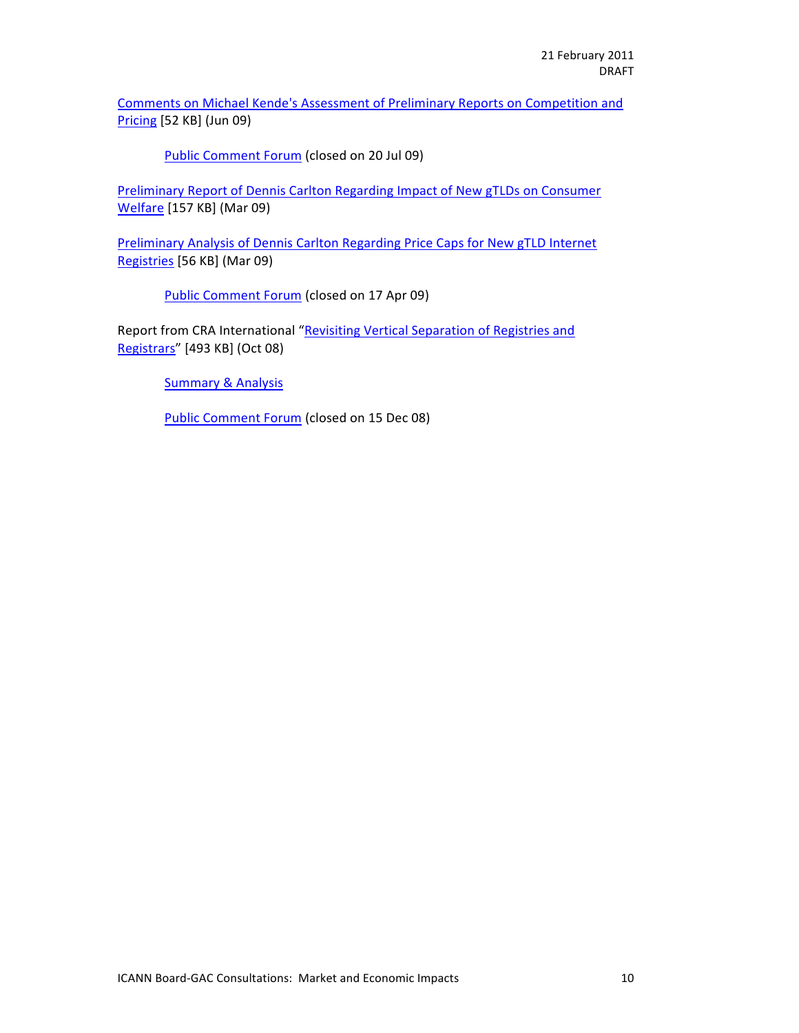Comments on Michael Kende's Assessment of Preliminary Reports on Competition and  $Pricing [52 KB] (Jun 09)$ 

Public Comment Forum (closed on 20 Jul 09)

Preliminary Report of Dennis Carlton Regarding Impact of New gTLDs on Consumer Welfare [157 KB] (Mar 09)

Preliminary Analysis of Dennis Carlton Regarding Price Caps for New gTLD Internet Registries [56 KB] (Mar 09)

Public Comment Forum (closed on 17 Apr 09)

Report from CRA International "Revisiting Vertical Separation of Registries and Registrars" [493 KB] (Oct 08)

**Summary & Analysis** 

Public Comment Forum (closed on 15 Dec 08)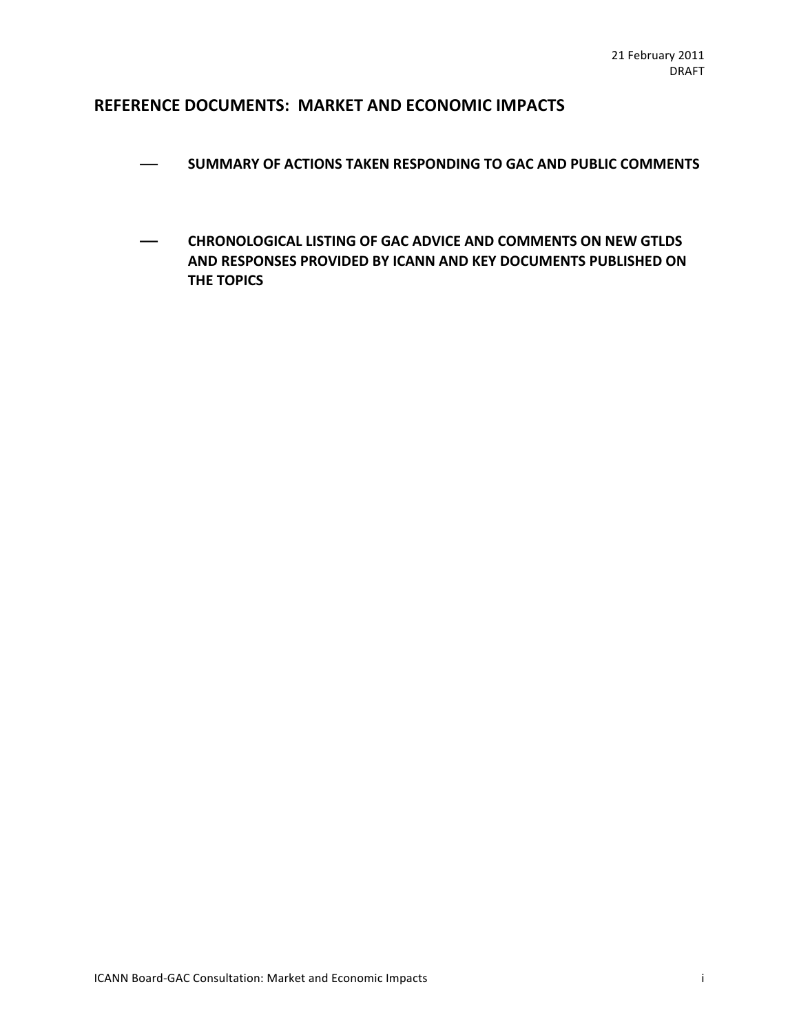# **REFERENCE DOCUMENTS: MARKET AND ECONOMIC IMPACTS**

- $-$  SUMMARY OF ACTIONS TAKEN RESPONDING TO GAC AND PUBLIC COMMENTS
- **CHRONOLOGICAL LISTING OF GAC ADVICE AND COMMENTS ON NEW GTLDS AND RESPONSES PROVIDED BY ICANN AND KEY DOCUMENTS PUBLISHED ON THE TOPICS**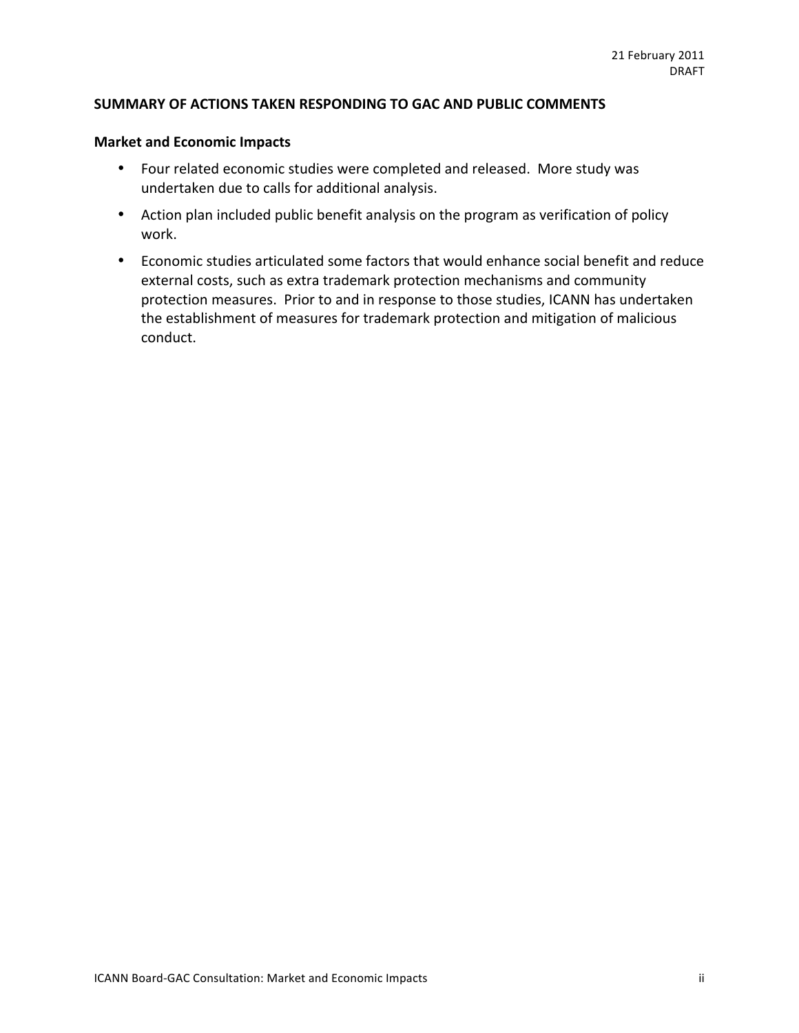# SUMMARY OF ACTIONS TAKEN RESPONDING TO GAC AND PUBLIC COMMENTS

# **Market and Economic Impacts**

- Four related economic studies were completed and released. More study was undertaken due to calls for additional analysis.
- Action plan included public benefit analysis on the program as verification of policy work.
- Economic studies articulated some factors that would enhance social benefit and reduce external costs, such as extra trademark protection mechanisms and community protection measures. Prior to and in response to those studies, ICANN has undertaken the establishment of measures for trademark protection and mitigation of malicious conduct.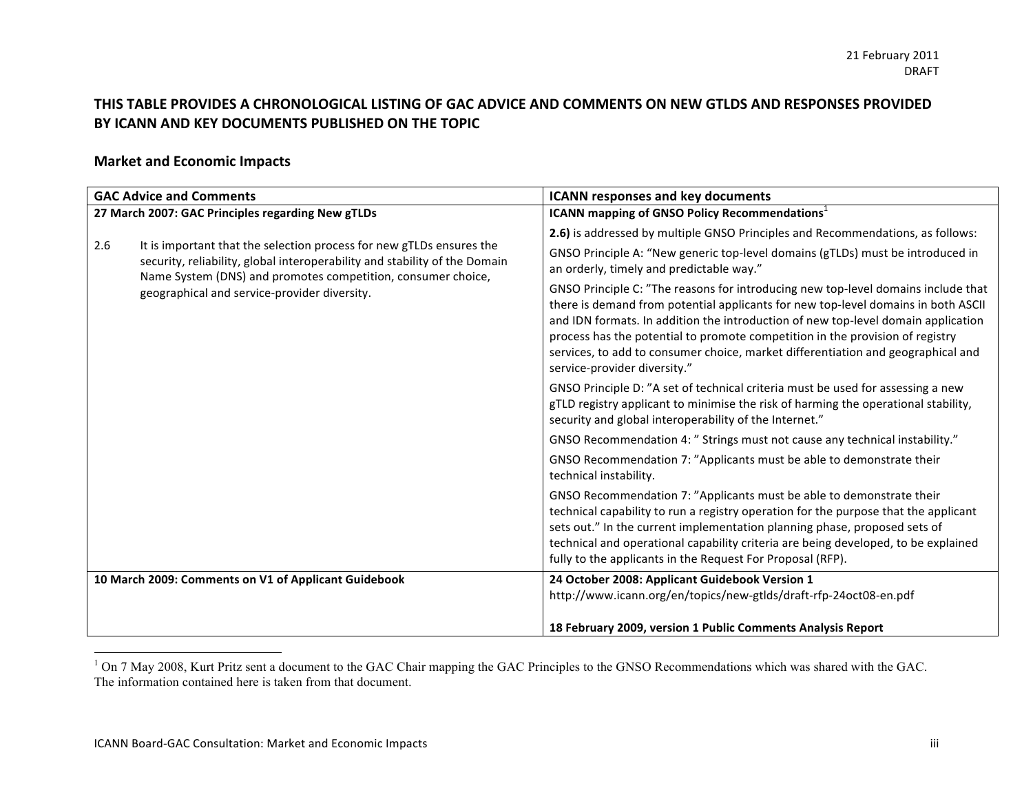# THIS TABLE PROVIDES A CHRONOLOGICAL LISTING OF GAC ADVICE AND COMMENTS ON NEW GTLDS AND RESPONSES PROVIDED BY ICANN AND KEY DOCUMENTS PUBLISHED ON THE TOPIC

# **Market and Economic Impacts**

| <b>GAC Advice and Comments</b>                                                                                                                                                                                                                                            | <b>ICANN responses and key documents</b>                                                                                                                                                                                                                                                                                                                                                                                                                         |
|---------------------------------------------------------------------------------------------------------------------------------------------------------------------------------------------------------------------------------------------------------------------------|------------------------------------------------------------------------------------------------------------------------------------------------------------------------------------------------------------------------------------------------------------------------------------------------------------------------------------------------------------------------------------------------------------------------------------------------------------------|
| 27 March 2007: GAC Principles regarding New gTLDs                                                                                                                                                                                                                         | <b>ICANN mapping of GNSO Policy Recommendations</b>                                                                                                                                                                                                                                                                                                                                                                                                              |
| It is important that the selection process for new gTLDs ensures the<br>2.6<br>security, reliability, global interoperability and stability of the Domain<br>Name System (DNS) and promotes competition, consumer choice,<br>geographical and service-provider diversity. | 2.6) is addressed by multiple GNSO Principles and Recommendations, as follows:                                                                                                                                                                                                                                                                                                                                                                                   |
|                                                                                                                                                                                                                                                                           | GNSO Principle A: "New generic top-level domains (gTLDs) must be introduced in<br>an orderly, timely and predictable way."                                                                                                                                                                                                                                                                                                                                       |
|                                                                                                                                                                                                                                                                           | GNSO Principle C: "The reasons for introducing new top-level domains include that<br>there is demand from potential applicants for new top-level domains in both ASCII<br>and IDN formats. In addition the introduction of new top-level domain application<br>process has the potential to promote competition in the provision of registry<br>services, to add to consumer choice, market differentiation and geographical and<br>service-provider diversity." |
|                                                                                                                                                                                                                                                                           | GNSO Principle D: "A set of technical criteria must be used for assessing a new<br>gTLD registry applicant to minimise the risk of harming the operational stability,<br>security and global interoperability of the Internet."                                                                                                                                                                                                                                  |
|                                                                                                                                                                                                                                                                           | GNSO Recommendation 4: " Strings must not cause any technical instability."                                                                                                                                                                                                                                                                                                                                                                                      |
|                                                                                                                                                                                                                                                                           | GNSO Recommendation 7: "Applicants must be able to demonstrate their<br>technical instability.                                                                                                                                                                                                                                                                                                                                                                   |
|                                                                                                                                                                                                                                                                           | GNSO Recommendation 7: "Applicants must be able to demonstrate their<br>technical capability to run a registry operation for the purpose that the applicant<br>sets out." In the current implementation planning phase, proposed sets of<br>technical and operational capability criteria are being developed, to be explained<br>fully to the applicants in the Request For Proposal (RFP).                                                                     |
| 10 March 2009: Comments on V1 of Applicant Guidebook                                                                                                                                                                                                                      | 24 October 2008: Applicant Guidebook Version 1<br>http://www.icann.org/en/topics/new-gtlds/draft-rfp-24oct08-en.pdf                                                                                                                                                                                                                                                                                                                                              |
|                                                                                                                                                                                                                                                                           | 18 February 2009, version 1 Public Comments Analysis Report                                                                                                                                                                                                                                                                                                                                                                                                      |
|                                                                                                                                                                                                                                                                           |                                                                                                                                                                                                                                                                                                                                                                                                                                                                  |

<sup>&</sup>lt;sup>1</sup> On 7 May 2008, Kurt Pritz sent a document to the GAC Chair mapping the GAC Principles to the GNSO Recommendations which was shared with the GAC. The information contained here is taken from that document.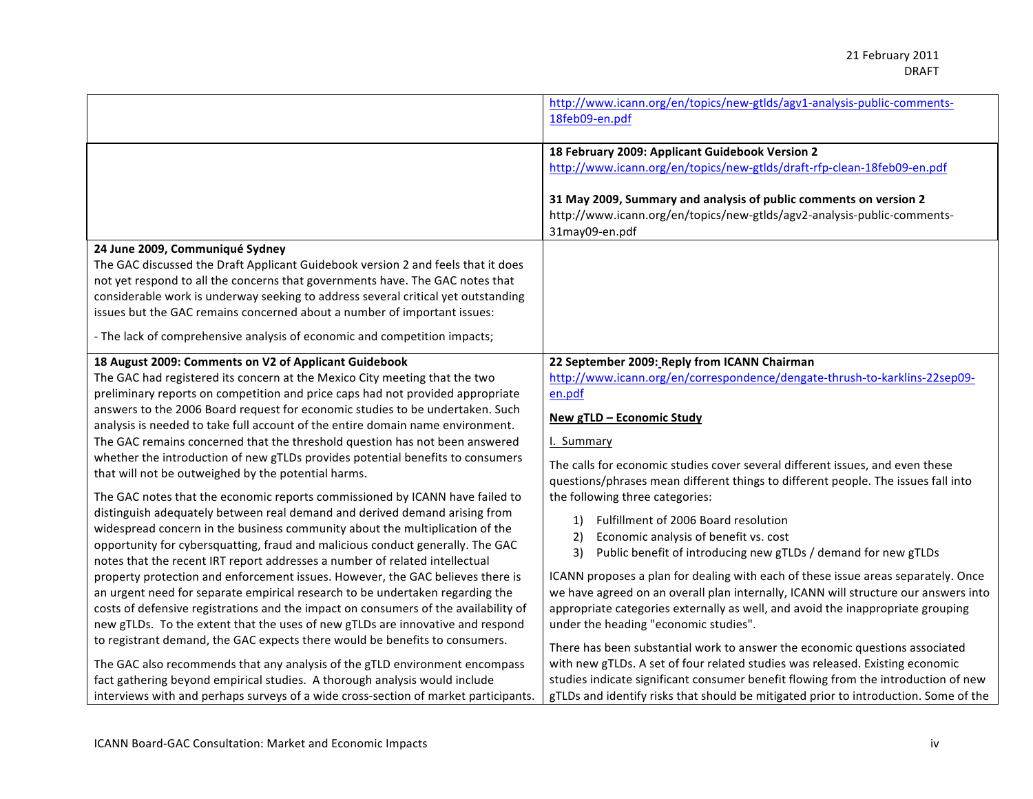|                                                                                     | http://www.icann.org/en/topics/new-gtlds/agv1-analysis-public-comments-              |
|-------------------------------------------------------------------------------------|--------------------------------------------------------------------------------------|
|                                                                                     | 18feb09-en.pdf                                                                       |
|                                                                                     |                                                                                      |
|                                                                                     | 18 February 2009: Applicant Guidebook Version 2                                      |
|                                                                                     | http://www.icann.org/en/topics/new-gtlds/draft-rfp-clean-18feb09-en.pdf              |
|                                                                                     |                                                                                      |
|                                                                                     | 31 May 2009, Summary and analysis of public comments on version 2                    |
|                                                                                     | http://www.icann.org/en/topics/new-gtlds/agv2-analysis-public-comments-              |
|                                                                                     | 31may09-en.pdf                                                                       |
| 24 June 2009, Communiqué Sydney                                                     |                                                                                      |
| The GAC discussed the Draft Applicant Guidebook version 2 and feels that it does    |                                                                                      |
| not yet respond to all the concerns that governments have. The GAC notes that       |                                                                                      |
| considerable work is underway seeking to address several critical yet outstanding   |                                                                                      |
| issues but the GAC remains concerned about a number of important issues:            |                                                                                      |
| - The lack of comprehensive analysis of economic and competition impacts;           |                                                                                      |
| 18 August 2009: Comments on V2 of Applicant Guidebook                               | 22 September 2009: Reply from ICANN Chairman                                         |
| The GAC had registered its concern at the Mexico City meeting that the two          | http://www.icann.org/en/correspondence/dengate-thrush-to-karklins-22sep09-           |
| preliminary reports on competition and price caps had not provided appropriate      | en.pdf                                                                               |
| answers to the 2006 Board request for economic studies to be undertaken. Such       | New gTLD - Economic Study                                                            |
| analysis is needed to take full account of the entire domain name environment.      |                                                                                      |
| The GAC remains concerned that the threshold question has not been answered         | I. Summary                                                                           |
| whether the introduction of new gTLDs provides potential benefits to consumers      | The calls for economic studies cover several different issues, and even these        |
| that will not be outweighed by the potential harms.                                 | questions/phrases mean different things to different people. The issues fall into    |
| The GAC notes that the economic reports commissioned by ICANN have failed to        | the following three categories:                                                      |
| distinguish adequately between real demand and derived demand arising from          |                                                                                      |
| widespread concern in the business community about the multiplication of the        | Fulfillment of 2006 Board resolution<br>1)                                           |
| opportunity for cybersquatting, fraud and malicious conduct generally. The GAC      | Economic analysis of benefit vs. cost<br>2)                                          |
| notes that the recent IRT report addresses a number of related intellectual         | Public benefit of introducing new gTLDs / demand for new gTLDs<br>3)                 |
| property protection and enforcement issues. However, the GAC believes there is      | ICANN proposes a plan for dealing with each of these issue areas separately. Once    |
| an urgent need for separate empirical research to be undertaken regarding the       | we have agreed on an overall plan internally, ICANN will structure our answers into  |
| costs of defensive registrations and the impact on consumers of the availability of | appropriate categories externally as well, and avoid the inappropriate grouping      |
| new gTLDs. To the extent that the uses of new gTLDs are innovative and respond      | under the heading "economic studies".                                                |
| to registrant demand, the GAC expects there would be benefits to consumers.         | There has been substantial work to answer the economic questions associated          |
| The GAC also recommends that any analysis of the gTLD environment encompass         | with new gTLDs. A set of four related studies was released. Existing economic        |
| fact gathering beyond empirical studies. A thorough analysis would include          | studies indicate significant consumer benefit flowing from the introduction of new   |
| interviews with and perhaps surveys of a wide cross-section of market participants. | gTLDs and identify risks that should be mitigated prior to introduction. Some of the |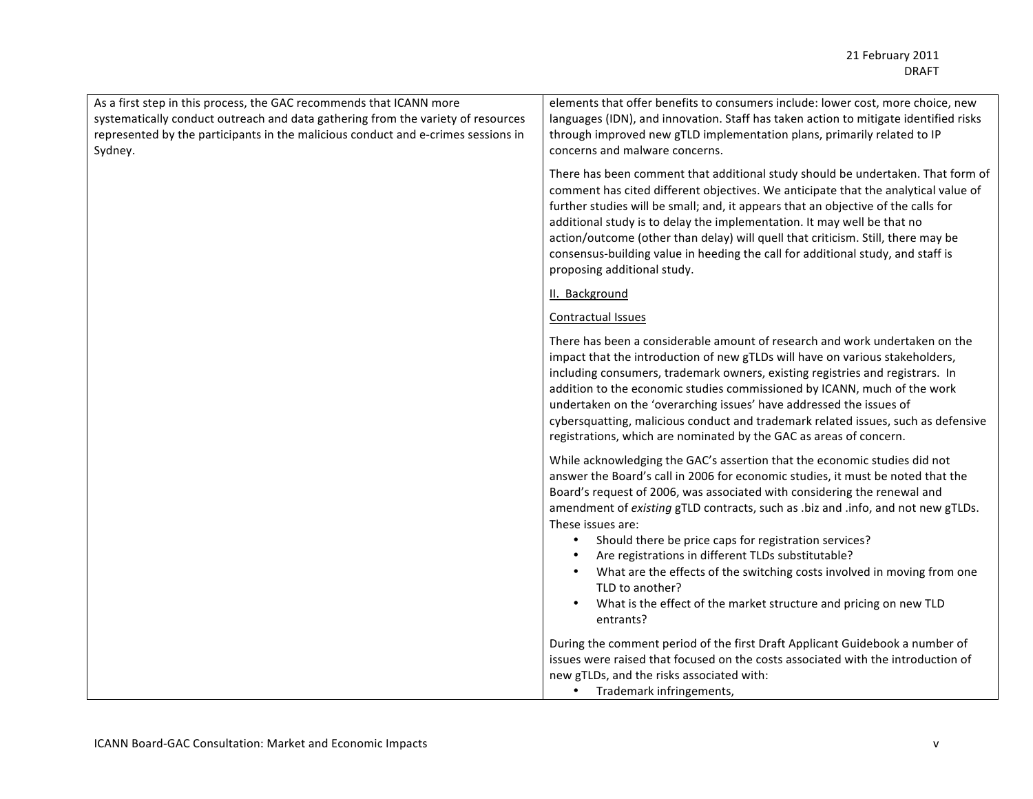| As a first step in this process, the GAC recommends that ICANN more<br>systematically conduct outreach and data gathering from the variety of resources<br>represented by the participants in the malicious conduct and e-crimes sessions in<br>Sydney. | elements that offer benefits to consumers include: lower cost, more choice, new<br>languages (IDN), and innovation. Staff has taken action to mitigate identified risks<br>through improved new gTLD implementation plans, primarily related to IP<br>concerns and malware concerns.                                                                                                                                                                                                                                                                                                                                                                          |
|---------------------------------------------------------------------------------------------------------------------------------------------------------------------------------------------------------------------------------------------------------|---------------------------------------------------------------------------------------------------------------------------------------------------------------------------------------------------------------------------------------------------------------------------------------------------------------------------------------------------------------------------------------------------------------------------------------------------------------------------------------------------------------------------------------------------------------------------------------------------------------------------------------------------------------|
|                                                                                                                                                                                                                                                         | There has been comment that additional study should be undertaken. That form of<br>comment has cited different objectives. We anticipate that the analytical value of<br>further studies will be small; and, it appears that an objective of the calls for<br>additional study is to delay the implementation. It may well be that no<br>action/outcome (other than delay) will quell that criticism. Still, there may be<br>consensus-building value in heeding the call for additional study, and staff is<br>proposing additional study.                                                                                                                   |
|                                                                                                                                                                                                                                                         | II. Background                                                                                                                                                                                                                                                                                                                                                                                                                                                                                                                                                                                                                                                |
|                                                                                                                                                                                                                                                         | <b>Contractual Issues</b>                                                                                                                                                                                                                                                                                                                                                                                                                                                                                                                                                                                                                                     |
|                                                                                                                                                                                                                                                         | There has been a considerable amount of research and work undertaken on the<br>impact that the introduction of new gTLDs will have on various stakeholders,<br>including consumers, trademark owners, existing registries and registrars. In<br>addition to the economic studies commissioned by ICANN, much of the work<br>undertaken on the 'overarching issues' have addressed the issues of<br>cybersquatting, malicious conduct and trademark related issues, such as defensive<br>registrations, which are nominated by the GAC as areas of concern.                                                                                                    |
|                                                                                                                                                                                                                                                         | While acknowledging the GAC's assertion that the economic studies did not<br>answer the Board's call in 2006 for economic studies, it must be noted that the<br>Board's request of 2006, was associated with considering the renewal and<br>amendment of existing gTLD contracts, such as .biz and .info, and not new gTLDs.<br>These issues are:<br>Should there be price caps for registration services?<br>$\bullet$<br>Are registrations in different TLDs substitutable?<br>What are the effects of the switching costs involved in moving from one<br>TLD to another?<br>What is the effect of the market structure and pricing on new TLD<br>entrants? |
|                                                                                                                                                                                                                                                         | During the comment period of the first Draft Applicant Guidebook a number of<br>issues were raised that focused on the costs associated with the introduction of<br>new gTLDs, and the risks associated with:<br>Trademark infringements,<br>$\bullet$                                                                                                                                                                                                                                                                                                                                                                                                        |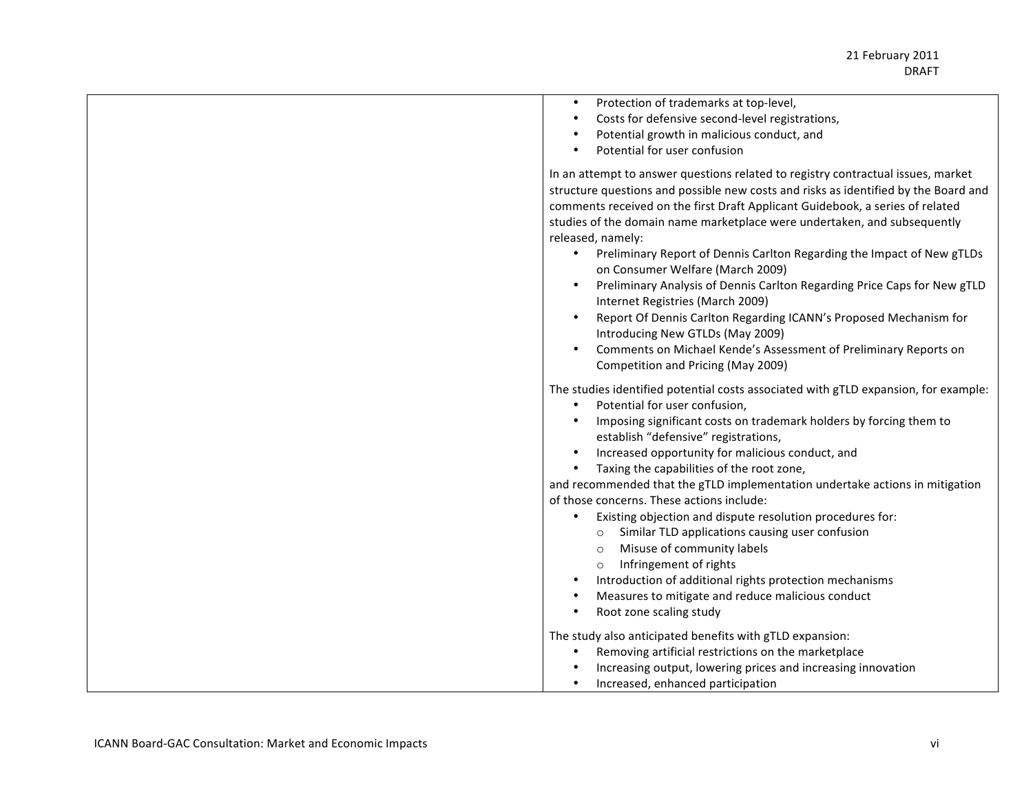| Protection of trademarks at top-level,<br>$\bullet$<br>Costs for defensive second-level registrations,<br>Potential growth in malicious conduct, and<br>Potential for user confusion                                                                                                                                                                                                                                                                                                                                                                                                                                                                                                                                                                                                                                              |
|-----------------------------------------------------------------------------------------------------------------------------------------------------------------------------------------------------------------------------------------------------------------------------------------------------------------------------------------------------------------------------------------------------------------------------------------------------------------------------------------------------------------------------------------------------------------------------------------------------------------------------------------------------------------------------------------------------------------------------------------------------------------------------------------------------------------------------------|
| In an attempt to answer questions related to registry contractual issues, market<br>structure questions and possible new costs and risks as identified by the Board and<br>comments received on the first Draft Applicant Guidebook, a series of related<br>studies of the domain name marketplace were undertaken, and subsequently<br>released, namely:<br>Preliminary Report of Dennis Carlton Regarding the Impact of New gTLDs<br>$\bullet$<br>on Consumer Welfare (March 2009)<br>Preliminary Analysis of Dennis Carlton Regarding Price Caps for New gTLD<br>Internet Registries (March 2009)<br>Report Of Dennis Carlton Regarding ICANN's Proposed Mechanism for<br>Introducing New GTLDs (May 2009)<br>Comments on Michael Kende's Assessment of Preliminary Reports on<br>Competition and Pricing (May 2009)           |
| The studies identified potential costs associated with gTLD expansion, for example:<br>Potential for user confusion,<br>$\bullet$<br>Imposing significant costs on trademark holders by forcing them to<br>establish "defensive" registrations,<br>Increased opportunity for malicious conduct, and<br>Taxing the capabilities of the root zone,<br>and recommended that the gTLD implementation undertake actions in mitigation<br>of those concerns. These actions include:<br>Existing objection and dispute resolution procedures for:<br>Similar TLD applications causing user confusion<br>$\circ$<br>Misuse of community labels<br>$\circ$<br>Infringement of rights<br>$\circ$<br>Introduction of additional rights protection mechanisms<br>Measures to mitigate and reduce malicious conduct<br>Root zone scaling study |
| The study also anticipated benefits with gTLD expansion:<br>Removing artificial restrictions on the marketplace<br>$\bullet$<br>Increasing output, lowering prices and increasing innovation<br>Increased, enhanced participation                                                                                                                                                                                                                                                                                                                                                                                                                                                                                                                                                                                                 |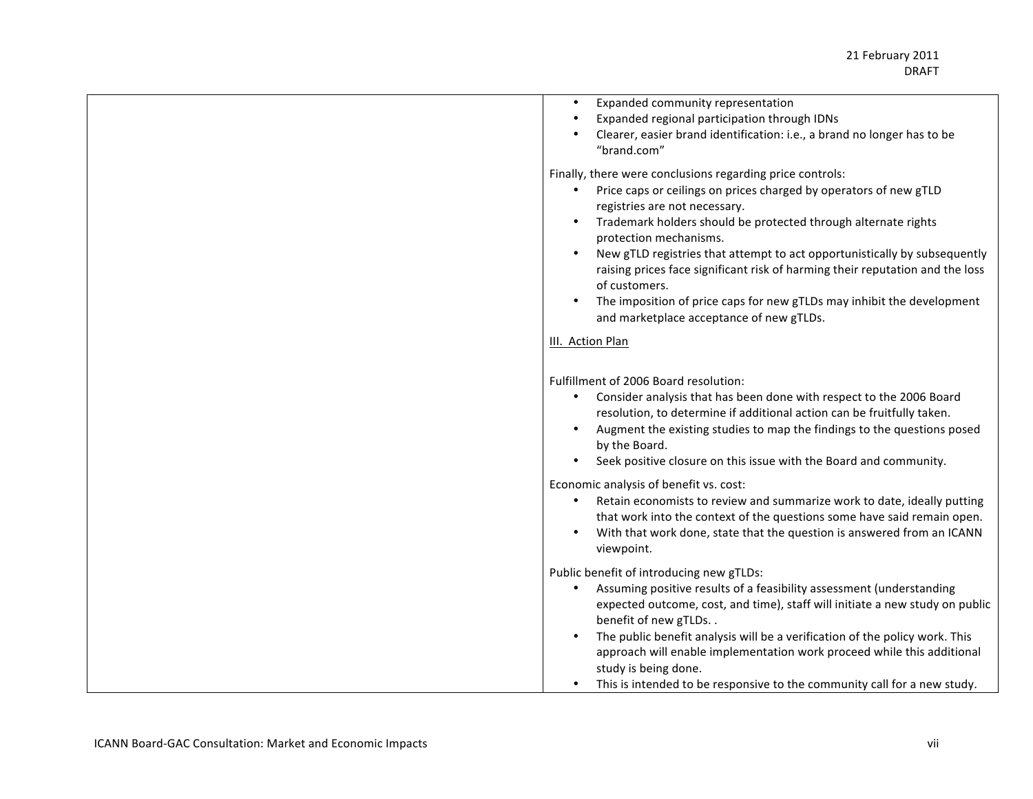| Expanded community representation<br>$\bullet$<br>Expanded regional participation through IDNs<br>Clearer, easier brand identification: i.e., a brand no longer has to be<br>"brand.com"                                                                                                                                                                                                                                                                                                                                                                                      |
|-------------------------------------------------------------------------------------------------------------------------------------------------------------------------------------------------------------------------------------------------------------------------------------------------------------------------------------------------------------------------------------------------------------------------------------------------------------------------------------------------------------------------------------------------------------------------------|
| Finally, there were conclusions regarding price controls:<br>Price caps or ceilings on prices charged by operators of new gTLD<br>$\bullet$<br>registries are not necessary.<br>Trademark holders should be protected through alternate rights<br>protection mechanisms.<br>New gTLD registries that attempt to act opportunistically by subsequently<br>raising prices face significant risk of harming their reputation and the loss<br>of customers.<br>The imposition of price caps for new gTLDs may inhibit the development<br>and marketplace acceptance of new gTLDs. |
| III. Action Plan                                                                                                                                                                                                                                                                                                                                                                                                                                                                                                                                                              |
| Fulfillment of 2006 Board resolution:<br>Consider analysis that has been done with respect to the 2006 Board<br>resolution, to determine if additional action can be fruitfully taken.<br>Augment the existing studies to map the findings to the questions posed<br>by the Board.<br>Seek positive closure on this issue with the Board and community.                                                                                                                                                                                                                       |
| Economic analysis of benefit vs. cost:<br>Retain economists to review and summarize work to date, ideally putting<br>that work into the context of the questions some have said remain open.<br>With that work done, state that the question is answered from an ICANN<br>viewpoint.                                                                                                                                                                                                                                                                                          |
| Public benefit of introducing new gTLDs:<br>Assuming positive results of a feasibility assessment (understanding<br>expected outcome, cost, and time), staff will initiate a new study on public<br>benefit of new gTLDs<br>The public benefit analysis will be a verification of the policy work. This<br>approach will enable implementation work proceed while this additional<br>study is being done.<br>This is intended to be responsive to the community call for a new study.                                                                                         |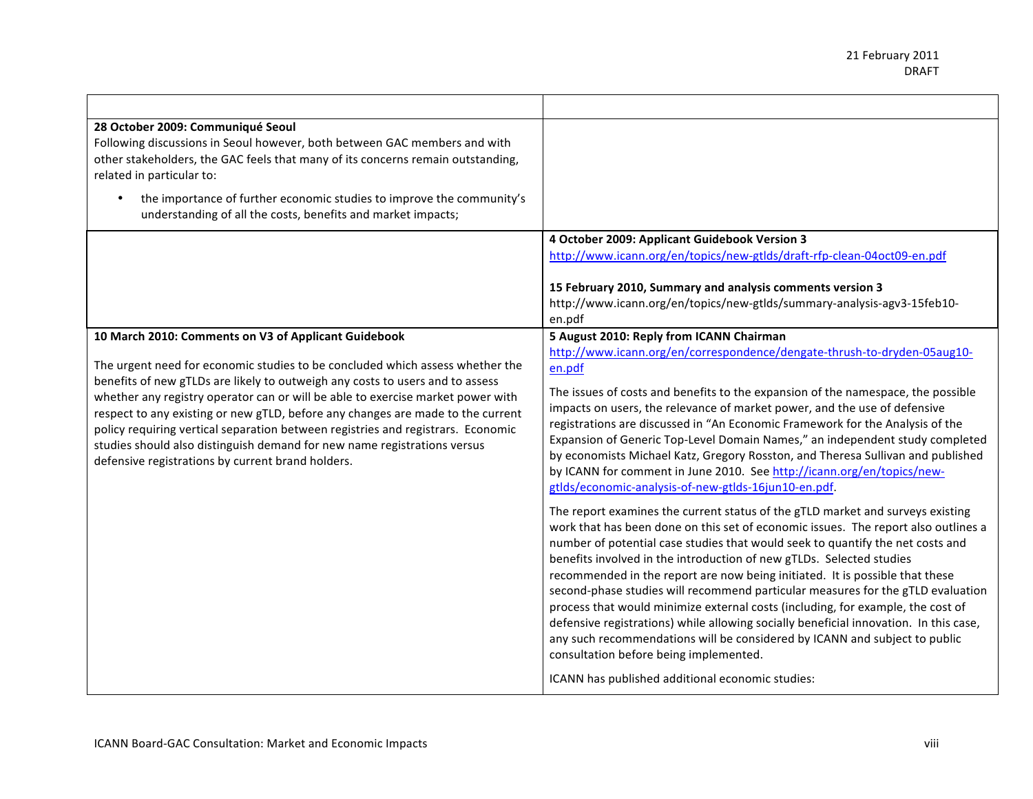| 28 October 2009: Communiqué Seoul<br>Following discussions in Seoul however, both between GAC members and with<br>other stakeholders, the GAC feels that many of its concerns remain outstanding,<br>related in particular to:<br>the importance of further economic studies to improve the community's<br>understanding of all the costs, benefits and market impacts;                                                                                                                                                                                                                                           |                                                                                                                                                                                                                                                                                                                                                                                                                                                                                                                                                                                                                                                                                                                                                                                                                                                                                                                                                                                                                                                                                                                                                                                                                                                                                                                                                                                                                                                                                                                                                    |
|-------------------------------------------------------------------------------------------------------------------------------------------------------------------------------------------------------------------------------------------------------------------------------------------------------------------------------------------------------------------------------------------------------------------------------------------------------------------------------------------------------------------------------------------------------------------------------------------------------------------|----------------------------------------------------------------------------------------------------------------------------------------------------------------------------------------------------------------------------------------------------------------------------------------------------------------------------------------------------------------------------------------------------------------------------------------------------------------------------------------------------------------------------------------------------------------------------------------------------------------------------------------------------------------------------------------------------------------------------------------------------------------------------------------------------------------------------------------------------------------------------------------------------------------------------------------------------------------------------------------------------------------------------------------------------------------------------------------------------------------------------------------------------------------------------------------------------------------------------------------------------------------------------------------------------------------------------------------------------------------------------------------------------------------------------------------------------------------------------------------------------------------------------------------------------|
|                                                                                                                                                                                                                                                                                                                                                                                                                                                                                                                                                                                                                   | 4 October 2009: Applicant Guidebook Version 3<br>http://www.icann.org/en/topics/new-gtlds/draft-rfp-clean-04oct09-en.pdf                                                                                                                                                                                                                                                                                                                                                                                                                                                                                                                                                                                                                                                                                                                                                                                                                                                                                                                                                                                                                                                                                                                                                                                                                                                                                                                                                                                                                           |
|                                                                                                                                                                                                                                                                                                                                                                                                                                                                                                                                                                                                                   | 15 February 2010, Summary and analysis comments version 3<br>http://www.icann.org/en/topics/new-gtlds/summary-analysis-agv3-15feb10-<br>en.pdf                                                                                                                                                                                                                                                                                                                                                                                                                                                                                                                                                                                                                                                                                                                                                                                                                                                                                                                                                                                                                                                                                                                                                                                                                                                                                                                                                                                                     |
| 10 March 2010: Comments on V3 of Applicant Guidebook<br>The urgent need for economic studies to be concluded which assess whether the<br>benefits of new gTLDs are likely to outweigh any costs to users and to assess<br>whether any registry operator can or will be able to exercise market power with<br>respect to any existing or new gTLD, before any changes are made to the current<br>policy requiring vertical separation between registries and registrars. Economic<br>studies should also distinguish demand for new name registrations versus<br>defensive registrations by current brand holders. | 5 August 2010: Reply from ICANN Chairman<br>http://www.icann.org/en/correspondence/dengate-thrush-to-dryden-05aug10-<br>en.pdf<br>The issues of costs and benefits to the expansion of the namespace, the possible<br>impacts on users, the relevance of market power, and the use of defensive<br>registrations are discussed in "An Economic Framework for the Analysis of the<br>Expansion of Generic Top-Level Domain Names," an independent study completed<br>by economists Michael Katz, Gregory Rosston, and Theresa Sullivan and published<br>by ICANN for comment in June 2010. See http://icann.org/en/topics/new-<br>gtlds/economic-analysis-of-new-gtlds-16jun10-en.pdf.<br>The report examines the current status of the gTLD market and surveys existing<br>work that has been done on this set of economic issues. The report also outlines a<br>number of potential case studies that would seek to quantify the net costs and<br>benefits involved in the introduction of new gTLDs. Selected studies<br>recommended in the report are now being initiated. It is possible that these<br>second-phase studies will recommend particular measures for the gTLD evaluation<br>process that would minimize external costs (including, for example, the cost of<br>defensive registrations) while allowing socially beneficial innovation. In this case,<br>any such recommendations will be considered by ICANN and subject to public<br>consultation before being implemented.<br>ICANN has published additional economic studies: |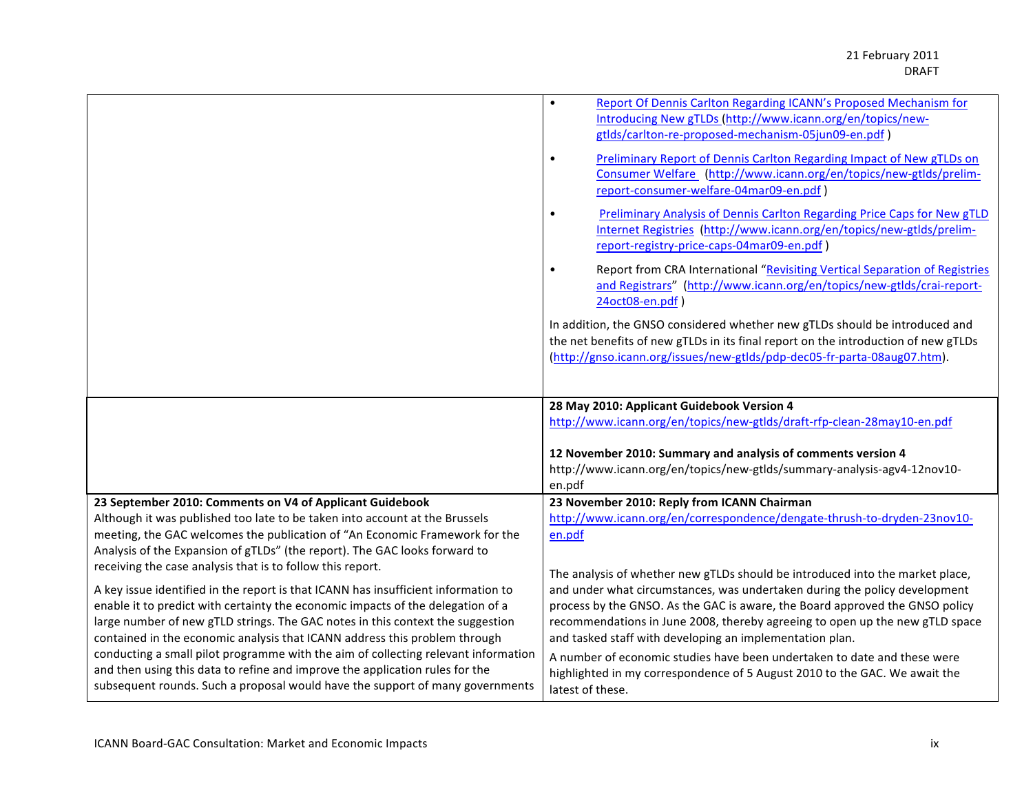|                                                                                    | Report Of Dennis Carlton Regarding ICANN's Proposed Mechanism for<br>$\bullet$                 |
|------------------------------------------------------------------------------------|------------------------------------------------------------------------------------------------|
|                                                                                    | Introducing New gTLDs (http://www.icann.org/en/topics/new-                                     |
|                                                                                    | gtlds/carlton-re-proposed-mechanism-05jun09-en.pdf)                                            |
|                                                                                    |                                                                                                |
|                                                                                    | Preliminary Report of Dennis Carlton Regarding Impact of New gTLDs on<br>$\bullet$             |
|                                                                                    | Consumer Welfare (http://www.icann.org/en/topics/new-gtlds/prelim-                             |
|                                                                                    | report-consumer-welfare-04mar09-en.pdf)                                                        |
|                                                                                    |                                                                                                |
|                                                                                    | Preliminary Analysis of Dennis Carlton Regarding Price Caps for New gTLD<br>$\bullet$          |
|                                                                                    | Internet Registries (http://www.icann.org/en/topics/new-gtlds/prelim-                          |
|                                                                                    | report-registry-price-caps-04mar09-en.pdf)                                                     |
|                                                                                    |                                                                                                |
|                                                                                    | Report from CRA International "Revisiting Vertical Separation of Registries<br>$\bullet$       |
|                                                                                    | and Registrars" (http://www.icann.org/en/topics/new-gtlds/crai-report-                         |
|                                                                                    | 24oct08-en.pdf)                                                                                |
|                                                                                    |                                                                                                |
|                                                                                    | In addition, the GNSO considered whether new gTLDs should be introduced and                    |
|                                                                                    | the net benefits of new gTLDs in its final report on the introduction of new gTLDs             |
|                                                                                    | (http://gnso.icann.org/issues/new-gtlds/pdp-dec05-fr-parta-08aug07.htm).                       |
|                                                                                    |                                                                                                |
|                                                                                    |                                                                                                |
|                                                                                    |                                                                                                |
|                                                                                    |                                                                                                |
|                                                                                    | 28 May 2010: Applicant Guidebook Version 4                                                     |
|                                                                                    | http://www.icann.org/en/topics/new-gtlds/draft-rfp-clean-28may10-en.pdf                        |
|                                                                                    |                                                                                                |
|                                                                                    | 12 November 2010: Summary and analysis of comments version 4                                   |
|                                                                                    | http://www.icann.org/en/topics/new-gtlds/summary-analysis-agv4-12nov10-                        |
|                                                                                    | en.pdf                                                                                         |
| 23 September 2010: Comments on V4 of Applicant Guidebook                           |                                                                                                |
|                                                                                    | 23 November 2010: Reply from ICANN Chairman                                                    |
| Although it was published too late to be taken into account at the Brussels        | http://www.icann.org/en/correspondence/dengate-thrush-to-dryden-23nov10-                       |
| meeting, the GAC welcomes the publication of "An Economic Framework for the        | en.pdf                                                                                         |
| Analysis of the Expansion of gTLDs" (the report). The GAC looks forward to         |                                                                                                |
| receiving the case analysis that is to follow this report.                         |                                                                                                |
|                                                                                    | The analysis of whether new gTLDs should be introduced into the market place,                  |
| A key issue identified in the report is that ICANN has insufficient information to | and under what circumstances, was undertaken during the policy development                     |
| enable it to predict with certainty the economic impacts of the delegation of a    | process by the GNSO. As the GAC is aware, the Board approved the GNSO policy                   |
| large number of new gTLD strings. The GAC notes in this context the suggestion     | recommendations in June 2008, thereby agreeing to open up the new gTLD space                   |
| contained in the economic analysis that ICANN address this problem through         | and tasked staff with developing an implementation plan.                                       |
| conducting a small pilot programme with the aim of collecting relevant information | A number of economic studies have been undertaken to date and these were                       |
| and then using this data to refine and improve the application rules for the       |                                                                                                |
| subsequent rounds. Such a proposal would have the support of many governments      | highlighted in my correspondence of 5 August 2010 to the GAC. We await the<br>latest of these. |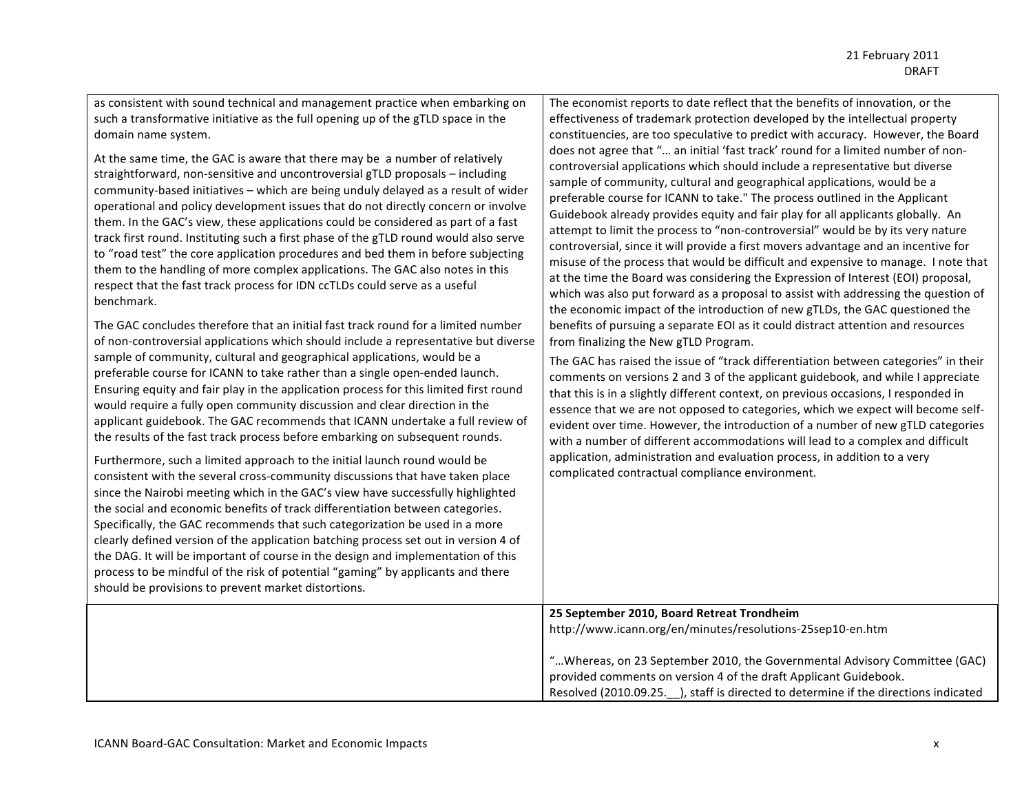as consistent with sound technical and management practice when embarking on such a transformative initiative as the full opening up of the gTLD space in the domain name system.

At the same time, the GAC is aware that there may be a number of relatively straightforward, non-sensitive and uncontroversial gTLD proposals – including community-based initiatives – which are being unduly delayed as a result of wider operational and policy development issues that do not directly concern or involve them. In the GAC's view, these applications could be considered as part of a fast track first round. Instituting such a first phase of the gTLD round would also serve to "road test" the core application procedures and bed them in before subjecting them to the handling of more complex applications. The GAC also notes in this respect that the fast track process for IDN ccTLDs could serve as a useful benchmark.#

The GAC concludes therefore that an initial fast track round for a limited number of non-controversial applications which should include a representative but diverse sample of community, cultural and geographical applications, would be a preferable course for ICANN to take rather than a single open-ended launch. Ensuring equity and fair play in the application process for this limited first round would require a fully open community discussion and clear direction in the applicant guidebook. The GAC recommends that ICANN undertake a full review of the results of the fast track process before embarking on subsequent rounds.

Furthermore, such a limited approach to the initial launch round would be consistent with the several cross-community discussions that have taken place since the Nairobi meeting which in the GAC's view have successfully highlighted the social and economic benefits of track differentiation between categories. Specifically, the GAC recommends that such categorization be used in a more clearly defined version of the application batching process set out in version 4 of the DAG. It will be important of course in the design and implementation of this process to be mindful of the risk of potential "gaming" by applicants and there should be provisions to prevent market distortions.

The economist reports to date reflect that the benefits of innovation, or the effectiveness of trademark protection developed by the intellectual property constituencies, are too speculative to predict with accuracy. However, the Board does not agree that "... an initial 'fast track' round for a limited number of noncontroversial applications which should include a representative but diverse sample of community, cultural and geographical applications, would be a preferable course for ICANN to take." The process outlined in the Applicant Guidebook already provides equity and fair play for all applicants globally. An attempt to limit the process to "non-controversial" would be by its very nature controversial, since it will provide a first movers advantage and an incentive for misuse of the process that would be difficult and expensive to manage. I note that at the time the Board was considering the Expression of Interest (EOI) proposal, which was also put forward as a proposal to assist with addressing the question of the economic impact of the introduction of new gTLDs, the GAC questioned the benefits of pursuing a separate EOI as it could distract attention and resources from finalizing the New gTLD Program.

The GAC has raised the issue of "track differentiation between categories" in their comments on versions 2 and 3 of the applicant guidebook, and while I appreciate that this is in a slightly different context, on previous occasions, I responded in essence that we are not opposed to categories, which we expect will become selfevident over time. However, the introduction of a number of new gTLD categories with a number of different accommodations will lead to a complex and difficult application, administration and evaluation process, in addition to a very complicated contractual compliance environment.

25 September 2010, Board Retreat Trondheim http://www.icann.org/en/minutes/resolutions-25sep10-en.htm

"...Whereas, on 23 September 2010, the Governmental Advisory Committee (GAC) provided comments on version 4 of the draft Applicant Guidebook. Resolved (2010.09.25. ), staff is directed to determine if the directions indicated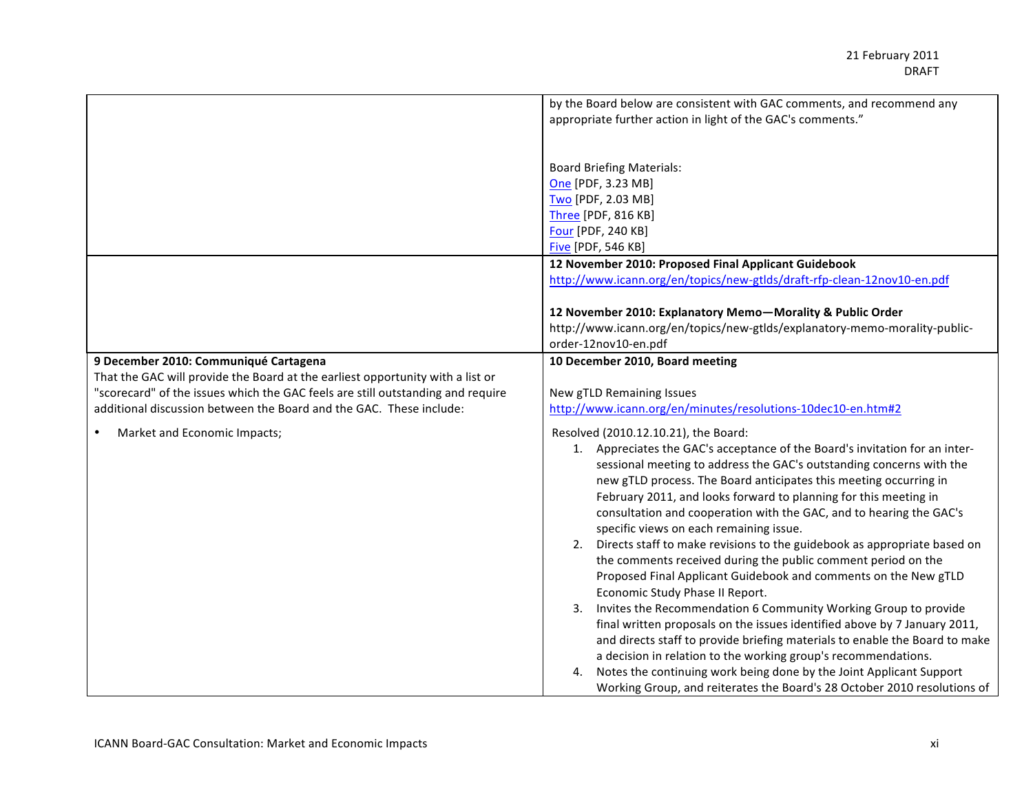|                                                                                 | by the Board below are consistent with GAC comments, and recommend any      |
|---------------------------------------------------------------------------------|-----------------------------------------------------------------------------|
|                                                                                 | appropriate further action in light of the GAC's comments."                 |
|                                                                                 |                                                                             |
|                                                                                 |                                                                             |
|                                                                                 | <b>Board Briefing Materials:</b>                                            |
|                                                                                 | One [PDF, 3.23 MB]                                                          |
|                                                                                 | Two [PDF, 2.03 MB]                                                          |
|                                                                                 | Three [PDF, 816 KB]                                                         |
|                                                                                 | Four [PDF, 240 KB]                                                          |
|                                                                                 | Five [PDF, 546 KB]                                                          |
|                                                                                 | 12 November 2010: Proposed Final Applicant Guidebook                        |
|                                                                                 | http://www.icann.org/en/topics/new-gtlds/draft-rfp-clean-12nov10-en.pdf     |
|                                                                                 |                                                                             |
|                                                                                 | 12 November 2010: Explanatory Memo-Morality & Public Order                  |
|                                                                                 | http://www.icann.org/en/topics/new-gtlds/explanatory-memo-morality-public-  |
|                                                                                 | order-12nov10-en.pdf                                                        |
| 9 December 2010: Communiqué Cartagena                                           | 10 December 2010, Board meeting                                             |
| That the GAC will provide the Board at the earliest opportunity with a list or  |                                                                             |
| "scorecard" of the issues which the GAC feels are still outstanding and require | New gTLD Remaining Issues                                                   |
| additional discussion between the Board and the GAC. These include:             | http://www.icann.org/en/minutes/resolutions-10dec10-en.htm#2                |
|                                                                                 |                                                                             |
| Market and Economic Impacts;                                                    | Resolved (2010.12.10.21), the Board:                                        |
|                                                                                 | 1. Appreciates the GAC's acceptance of the Board's invitation for an inter- |
|                                                                                 | sessional meeting to address the GAC's outstanding concerns with the        |
|                                                                                 | new gTLD process. The Board anticipates this meeting occurring in           |
|                                                                                 | February 2011, and looks forward to planning for this meeting in            |
|                                                                                 | consultation and cooperation with the GAC, and to hearing the GAC's         |
|                                                                                 | specific views on each remaining issue.                                     |
|                                                                                 | 2. Directs staff to make revisions to the guidebook as appropriate based on |
|                                                                                 | the comments received during the public comment period on the               |
|                                                                                 | Proposed Final Applicant Guidebook and comments on the New gTLD             |
|                                                                                 | Economic Study Phase II Report.                                             |
|                                                                                 | 3. Invites the Recommendation 6 Community Working Group to provide          |
|                                                                                 | final written proposals on the issues identified above by 7 January 2011,   |
|                                                                                 | and directs staff to provide briefing materials to enable the Board to make |
|                                                                                 | a decision in relation to the working group's recommendations.              |
|                                                                                 | Notes the continuing work being done by the Joint Applicant Support         |
|                                                                                 | Working Group, and reiterates the Board's 28 October 2010 resolutions of    |